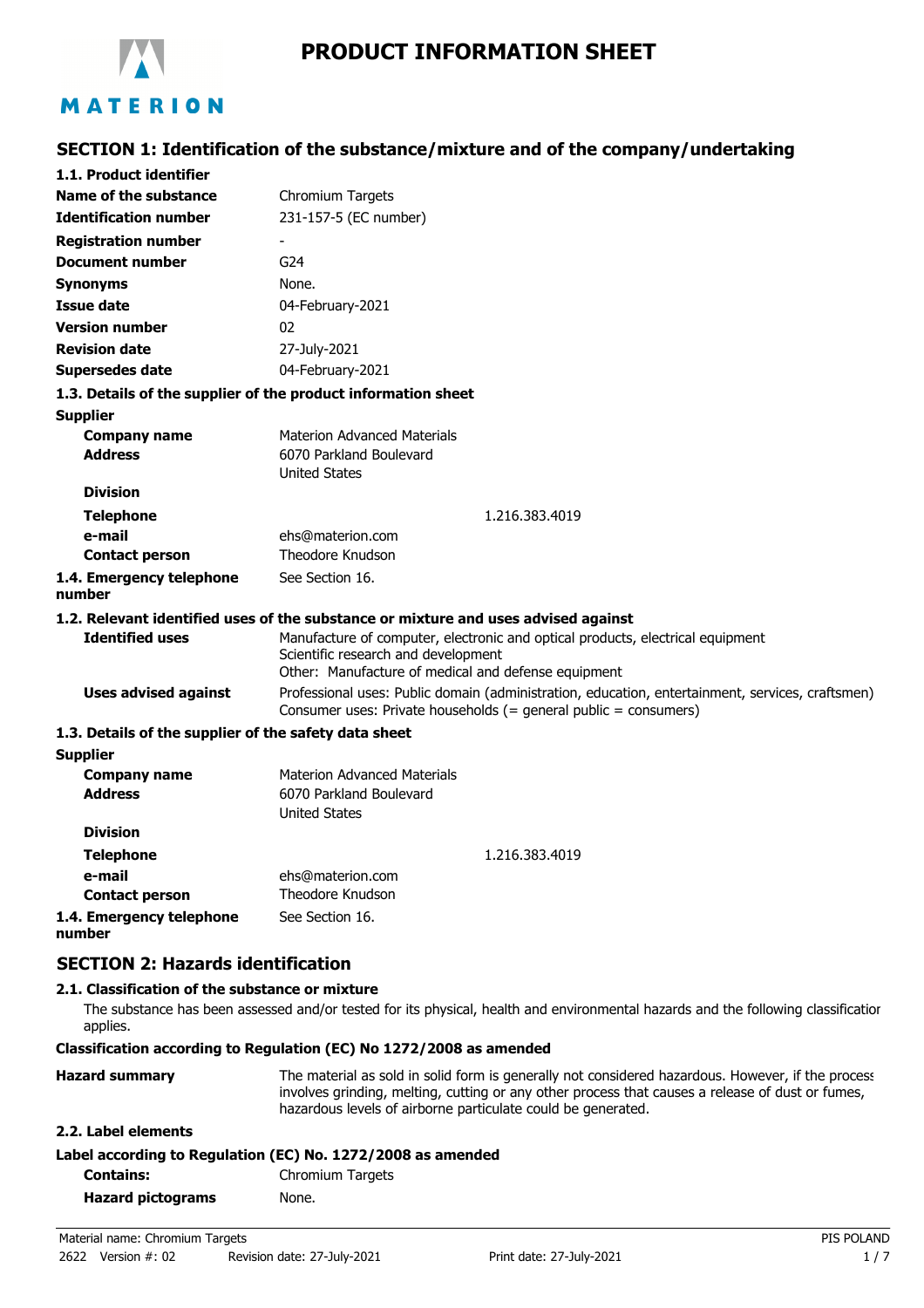

**SECTION 1: Identification of the substance/mixture and of the company/undertaking**

| 1.1. Product identifier                               |                                                                                                                                                                              |  |
|-------------------------------------------------------|------------------------------------------------------------------------------------------------------------------------------------------------------------------------------|--|
| Name of the substance                                 | Chromium Targets                                                                                                                                                             |  |
| <b>Identification number</b>                          | 231-157-5 (EC number)                                                                                                                                                        |  |
| <b>Registration number</b>                            |                                                                                                                                                                              |  |
| Document number                                       | G <sub>24</sub>                                                                                                                                                              |  |
| <b>Synonyms</b>                                       | None.                                                                                                                                                                        |  |
| <b>Issue date</b>                                     | 04-February-2021                                                                                                                                                             |  |
| <b>Version number</b>                                 | 02                                                                                                                                                                           |  |
| <b>Revision date</b>                                  | 27-July-2021                                                                                                                                                                 |  |
| <b>Supersedes date</b>                                | 04-February-2021                                                                                                                                                             |  |
|                                                       | 1.3. Details of the supplier of the product information sheet                                                                                                                |  |
| <b>Supplier</b>                                       |                                                                                                                                                                              |  |
| <b>Company name</b>                                   | <b>Materion Advanced Materials</b>                                                                                                                                           |  |
| <b>Address</b>                                        | 6070 Parkland Boulevard                                                                                                                                                      |  |
|                                                       | <b>United States</b>                                                                                                                                                         |  |
| <b>Division</b>                                       |                                                                                                                                                                              |  |
| <b>Telephone</b>                                      | 1.216.383.4019                                                                                                                                                               |  |
| e-mail                                                | ehs@materion.com                                                                                                                                                             |  |
| <b>Contact person</b>                                 | Theodore Knudson                                                                                                                                                             |  |
| 1.4. Emergency telephone<br>number                    | See Section 16.                                                                                                                                                              |  |
|                                                       | 1.2. Relevant identified uses of the substance or mixture and uses advised against                                                                                           |  |
| <b>Identified uses</b>                                | Manufacture of computer, electronic and optical products, electrical equipment<br>Scientific research and development<br>Other: Manufacture of medical and defense equipment |  |
| <b>Uses advised against</b>                           | Professional uses: Public domain (administration, education, entertainment, services, craftsmen)<br>Consumer uses: Private households (= general public = consumers)         |  |
| 1.3. Details of the supplier of the safety data sheet |                                                                                                                                                                              |  |
| <b>Supplier</b>                                       |                                                                                                                                                                              |  |
| <b>Company name</b>                                   | <b>Materion Advanced Materials</b>                                                                                                                                           |  |
| <b>Address</b>                                        | 6070 Parkland Boulevard<br><b>United States</b>                                                                                                                              |  |
| <b>Division</b>                                       |                                                                                                                                                                              |  |
| <b>Telephone</b>                                      | 1.216.383.4019                                                                                                                                                               |  |
| e-mail                                                | ehs@materion.com                                                                                                                                                             |  |
| <b>Contact person</b>                                 | Theodore Knudson                                                                                                                                                             |  |

# **SECTION 2: Hazards identification**

**1.4. Emergency telephone**

**number**

#### **2.1. Classification of the substance or mixture**

The substance has been assessed and/or tested for its physical, health and environmental hazards and the following classification applies.

#### **Classification according to Regulation (EC) No 1272/2008 as amended**

See Section 16.

| <b>Hazard summary</b>                                       | The material as sold in solid form is generally not considered hazardous. However, if the process<br>involves grinding, melting, cutting or any other process that causes a release of dust or fumes,<br>hazardous levels of airborne particulate could be generated. |
|-------------------------------------------------------------|-----------------------------------------------------------------------------------------------------------------------------------------------------------------------------------------------------------------------------------------------------------------------|
| 2.2. Label elements                                         |                                                                                                                                                                                                                                                                       |
| Label according to Regulation (EC) No. 1272/2008 as amended |                                                                                                                                                                                                                                                                       |
|                                                             | <b>Classifications T</b>                                                                                                                                                                                                                                              |

| <b>Contains:</b>         | Chromium Targets |
|--------------------------|------------------|
| <b>Hazard pictograms</b> | None.            |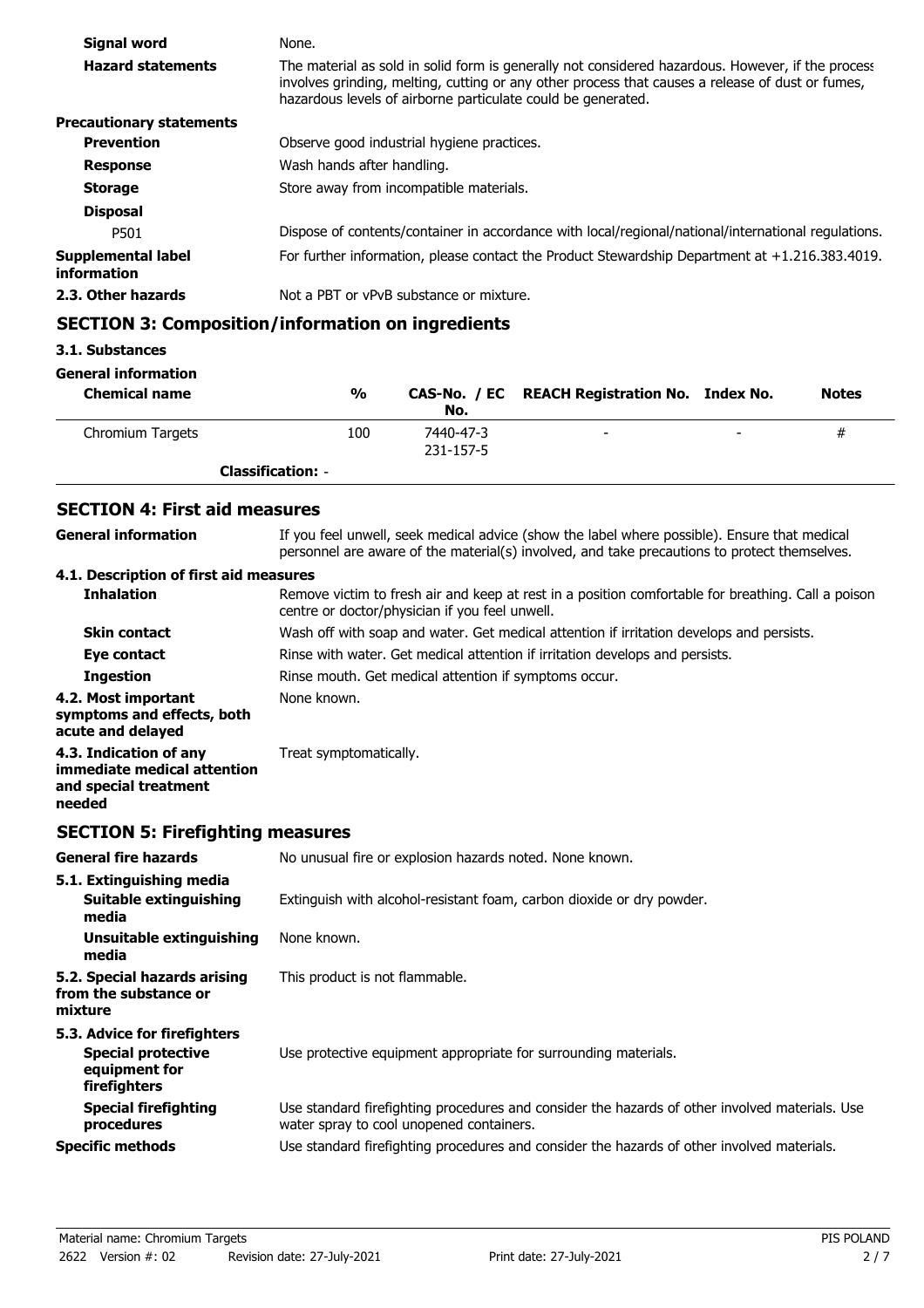| Signal word                       | None.                                                                                                                                                                                                                                                                 |
|-----------------------------------|-----------------------------------------------------------------------------------------------------------------------------------------------------------------------------------------------------------------------------------------------------------------------|
| <b>Hazard statements</b>          | The material as sold in solid form is generally not considered hazardous. However, if the process<br>involves grinding, melting, cutting or any other process that causes a release of dust or fumes,<br>hazardous levels of airborne particulate could be generated. |
| <b>Precautionary statements</b>   |                                                                                                                                                                                                                                                                       |
| <b>Prevention</b>                 | Observe good industrial hygiene practices.                                                                                                                                                                                                                            |
| <b>Response</b>                   | Wash hands after handling.                                                                                                                                                                                                                                            |
| <b>Storage</b>                    | Store away from incompatible materials.                                                                                                                                                                                                                               |
| <b>Disposal</b>                   |                                                                                                                                                                                                                                                                       |
| P501                              | Dispose of contents/container in accordance with local/regional/national/international regulations.                                                                                                                                                                   |
| Supplemental label<br>information | For further information, please contact the Product Stewardship Department at $+1.216.383.4019$ .                                                                                                                                                                     |
| 2.3. Other hazards                | Not a PBT or vPvB substance or mixture.                                                                                                                                                                                                                               |

# **SECTION 3: Composition/information on ingredients**

## **3.1. Substances**

#### **General information**

| <b>Chemical name</b> | $\frac{0}{0}$            | No.                    | CAS-No. / EC REACH Registration No. Index No. |                          | <b>Notes</b> |
|----------------------|--------------------------|------------------------|-----------------------------------------------|--------------------------|--------------|
| Chromium Targets     | 100                      | 7440-47-3<br>231-157-5 | $\overline{\phantom{0}}$                      | $\overline{\phantom{0}}$ | #            |
|                      | <b>Classification: -</b> |                        |                                               |                          |              |

# **SECTION 4: First aid measures**

| <b>General information</b>                                                                 | If you feel unwell, seek medical advice (show the label where possible). Ensure that medical<br>personnel are aware of the material(s) involved, and take precautions to protect themselves. |  |  |
|--------------------------------------------------------------------------------------------|----------------------------------------------------------------------------------------------------------------------------------------------------------------------------------------------|--|--|
| 4.1. Description of first aid measures                                                     |                                                                                                                                                                                              |  |  |
| <b>Inhalation</b>                                                                          | Remove victim to fresh air and keep at rest in a position comfortable for breathing. Call a poison<br>centre or doctor/physician if you feel unwell.                                         |  |  |
| <b>Skin contact</b>                                                                        | Wash off with soap and water. Get medical attention if irritation develops and persists.                                                                                                     |  |  |
| Eye contact                                                                                | Rinse with water. Get medical attention if irritation develops and persists.                                                                                                                 |  |  |
| <b>Ingestion</b>                                                                           | Rinse mouth. Get medical attention if symptoms occur.                                                                                                                                        |  |  |
| 4.2. Most important<br>symptoms and effects, both<br>acute and delayed                     | None known.                                                                                                                                                                                  |  |  |
| 4.3. Indication of any<br>immediate medical attention<br>and special treatment<br>needed   | Treat symptomatically.                                                                                                                                                                       |  |  |
| <b>SECTION 5: Firefighting measures</b>                                                    |                                                                                                                                                                                              |  |  |
| <b>General fire hazards</b>                                                                | No unusual fire or explosion hazards noted. None known.                                                                                                                                      |  |  |
| 5.1. Extinguishing media<br><b>Suitable extinguishing</b><br>media                         | Extinguish with alcohol-resistant foam, carbon dioxide or dry powder.                                                                                                                        |  |  |
| <b>Unsuitable extinguishing</b><br>media                                                   | None known.                                                                                                                                                                                  |  |  |
| 5.2. Special hazards arising<br>from the substance or<br>mixture                           | This product is not flammable.                                                                                                                                                               |  |  |
| 5.3. Advice for firefighters<br><b>Special protective</b><br>equipment for<br>firefighters | Use protective equipment appropriate for surrounding materials.                                                                                                                              |  |  |
| <b>Special firefighting</b><br>procedures                                                  | Use standard firefighting procedures and consider the hazards of other involved materials. Use<br>water spray to cool unopened containers.                                                   |  |  |
| <b>Specific methods</b>                                                                    | Use standard firefighting procedures and consider the hazards of other involved materials.                                                                                                   |  |  |
|                                                                                            |                                                                                                                                                                                              |  |  |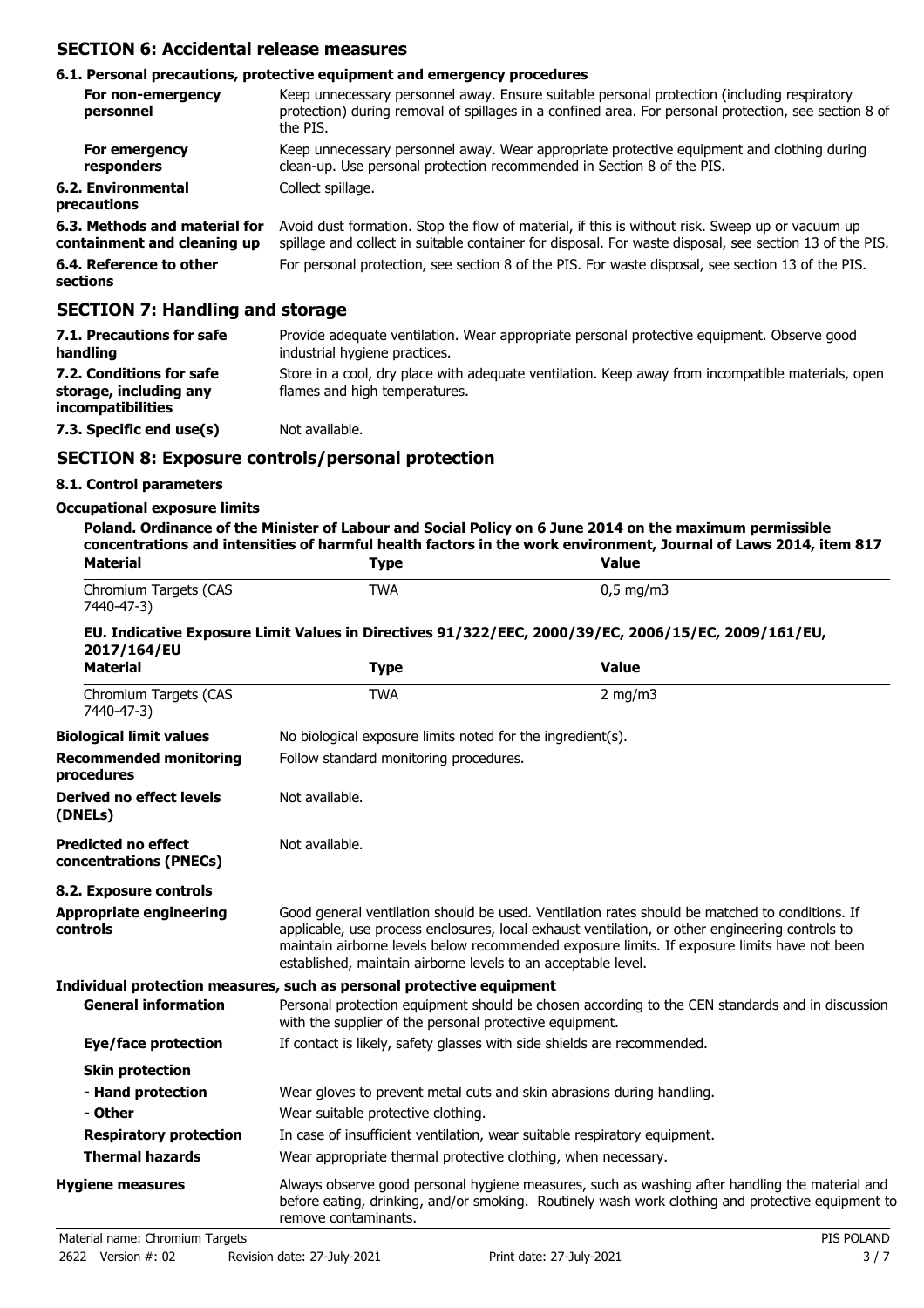## **SECTION 6: Accidental release measures**

## **6.1. Personal precautions, protective equipment and emergency procedures**

| For non-emergency<br>personnel                               | Keep unnecessary personnel away. Ensure suitable personal protection (including respiratory<br>protection) during removal of spillages in a confined area. For personal protection, see section 8 of<br>the PIS. |
|--------------------------------------------------------------|------------------------------------------------------------------------------------------------------------------------------------------------------------------------------------------------------------------|
| For emergency<br>responders                                  | Keep unnecessary personnel away. Wear appropriate protective equipment and clothing during<br>clean-up. Use personal protection recommended in Section 8 of the PIS.                                             |
| 6.2. Environmental<br>precautions                            | Collect spillage.                                                                                                                                                                                                |
| 6.3. Methods and material for<br>containment and cleaning up | Avoid dust formation. Stop the flow of material, if this is without risk. Sweep up or vacuum up<br>spillage and collect in suitable container for disposal. For waste disposal, see section 13 of the PIS.       |
| 6.4. Reference to other<br>sections                          | For personal protection, see section 8 of the PIS. For waste disposal, see section 13 of the PIS.                                                                                                                |
|                                                              |                                                                                                                                                                                                                  |

## **SECTION 7: Handling and storage**

| 7.1. Precautions for safe<br>handling                                          | Provide adequate ventilation. Wear appropriate personal protective equipment. Observe good<br>industrial hygiene practices.        |
|--------------------------------------------------------------------------------|------------------------------------------------------------------------------------------------------------------------------------|
| 7.2. Conditions for safe<br>storage, including any<br><i>incompatibilities</i> | Store in a cool, dry place with adequate ventilation. Keep away from incompatible materials, open<br>flames and high temperatures. |
| 7.3. Specific end use(s)                                                       | Not available.                                                                                                                     |

## **SECTION 8: Exposure controls/personal protection**

## **8.1. Control parameters**

#### **Occupational exposure limits**

| <b>Material</b>                                      | <b>Type</b>                                                                                                                                                                                                                 | concentrations and intensities of harmful health factors in the work environment, Journal of Laws 2014, item 817<br><b>Value</b>                                                                                                                                                                  |  |  |
|------------------------------------------------------|-----------------------------------------------------------------------------------------------------------------------------------------------------------------------------------------------------------------------------|---------------------------------------------------------------------------------------------------------------------------------------------------------------------------------------------------------------------------------------------------------------------------------------------------|--|--|
| Chromium Targets (CAS<br>7440-47-3)                  | <b>TWA</b>                                                                                                                                                                                                                  | $0,5$ mg/m3                                                                                                                                                                                                                                                                                       |  |  |
| 2017/164/EU                                          |                                                                                                                                                                                                                             | EU. Indicative Exposure Limit Values in Directives 91/322/EEC, 2000/39/EC, 2006/15/EC, 2009/161/EU,                                                                                                                                                                                               |  |  |
| <b>Material</b>                                      | <b>Type</b>                                                                                                                                                                                                                 | <b>Value</b>                                                                                                                                                                                                                                                                                      |  |  |
| Chromium Targets (CAS<br>7440-47-3)                  | TWA                                                                                                                                                                                                                         | 2 mg/m $3$                                                                                                                                                                                                                                                                                        |  |  |
| <b>Biological limit values</b>                       | No biological exposure limits noted for the ingredient(s).                                                                                                                                                                  |                                                                                                                                                                                                                                                                                                   |  |  |
| <b>Recommended monitoring</b><br>procedures          |                                                                                                                                                                                                                             | Follow standard monitoring procedures.                                                                                                                                                                                                                                                            |  |  |
| <b>Derived no effect levels</b><br>(DNELs)           | Not available.                                                                                                                                                                                                              |                                                                                                                                                                                                                                                                                                   |  |  |
| <b>Predicted no effect</b><br>concentrations (PNECs) | Not available.                                                                                                                                                                                                              |                                                                                                                                                                                                                                                                                                   |  |  |
| 8.2. Exposure controls                               |                                                                                                                                                                                                                             |                                                                                                                                                                                                                                                                                                   |  |  |
| <b>Appropriate engineering</b><br>controls           | established, maintain airborne levels to an acceptable level.                                                                                                                                                               | Good general ventilation should be used. Ventilation rates should be matched to conditions. If<br>applicable, use process enclosures, local exhaust ventilation, or other engineering controls to<br>maintain airborne levels below recommended exposure limits. If exposure limits have not been |  |  |
|                                                      | Individual protection measures, such as personal protective equipment                                                                                                                                                       |                                                                                                                                                                                                                                                                                                   |  |  |
| <b>General information</b>                           | Personal protection equipment should be chosen according to the CEN standards and in discussion<br>with the supplier of the personal protective equipment.                                                                  |                                                                                                                                                                                                                                                                                                   |  |  |
| <b>Eye/face protection</b>                           | If contact is likely, safety glasses with side shields are recommended.                                                                                                                                                     |                                                                                                                                                                                                                                                                                                   |  |  |
| <b>Skin protection</b>                               |                                                                                                                                                                                                                             |                                                                                                                                                                                                                                                                                                   |  |  |
| - Hand protection                                    | Wear gloves to prevent metal cuts and skin abrasions during handling.                                                                                                                                                       |                                                                                                                                                                                                                                                                                                   |  |  |
| - Other                                              | Wear suitable protective clothing.                                                                                                                                                                                          |                                                                                                                                                                                                                                                                                                   |  |  |
| <b>Respiratory protection</b>                        | In case of insufficient ventilation, wear suitable respiratory equipment.                                                                                                                                                   |                                                                                                                                                                                                                                                                                                   |  |  |
| <b>Thermal hazards</b>                               | Wear appropriate thermal protective clothing, when necessary.                                                                                                                                                               |                                                                                                                                                                                                                                                                                                   |  |  |
| <b>Hygiene measures</b>                              | Always observe good personal hygiene measures, such as washing after handling the material and<br>before eating, drinking, and/or smoking. Routinely wash work clothing and protective equipment to<br>remove contaminants. |                                                                                                                                                                                                                                                                                                   |  |  |
| Material name: Chromium Targets                      |                                                                                                                                                                                                                             | PIS POLAND                                                                                                                                                                                                                                                                                        |  |  |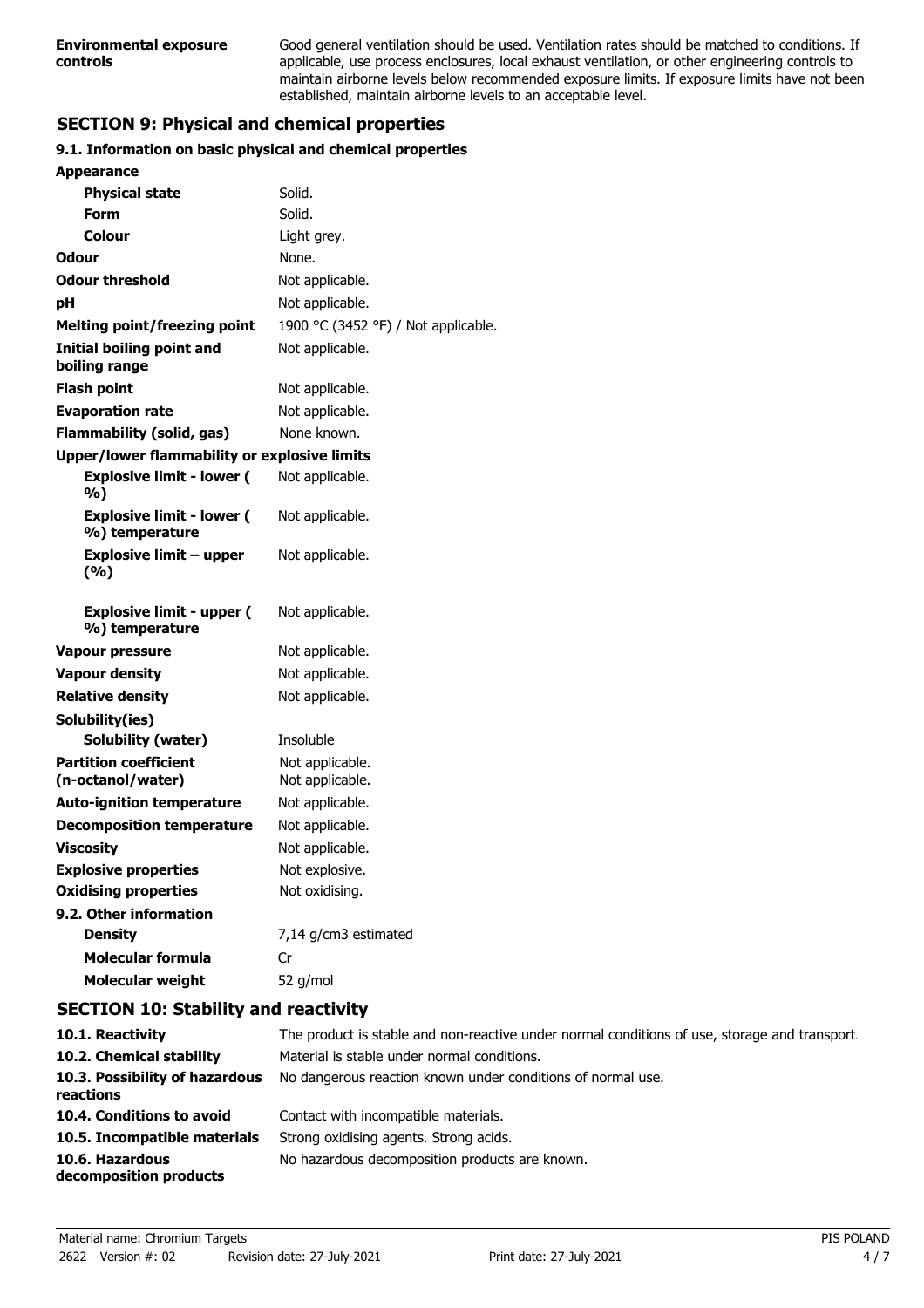Good general ventilation should be used. Ventilation rates should be matched to conditions. If applicable, use process enclosures, local exhaust ventilation, or other engineering controls to maintain airborne levels below recommended exposure limits. If exposure limits have not been established, maintain airborne levels to an acceptable level.

# **SECTION 9: Physical and chemical properties**

## **9.1. Information on basic physical and chemical properties**

| <b>Appearance</b>                                   |                                     |
|-----------------------------------------------------|-------------------------------------|
| <b>Physical state</b>                               | Solid.                              |
| Form                                                | Solid.                              |
| Colour                                              | Light grey.                         |
| Odour                                               | None.                               |
| <b>Odour threshold</b>                              | Not applicable.                     |
| рH                                                  | Not applicable.                     |
| <b>Melting point/freezing point</b>                 | 1900 °C (3452 °F) / Not applicable. |
| Initial boiling point and<br>boiling range          | Not applicable.                     |
| <b>Flash point</b>                                  | Not applicable.                     |
| <b>Evaporation rate</b>                             | Not applicable.                     |
| Flammability (solid, gas)                           | None known.                         |
| <b>Upper/lower flammability or explosive limits</b> |                                     |
| <b>Explosive limit - lower (</b><br>%)              | Not applicable.                     |
| <b>Explosive limit - lower (</b><br>%) temperature  | Not applicable.                     |
| <b>Explosive limit - upper</b>                      | Not applicable.                     |
| (%)                                                 |                                     |
| <b>Explosive limit - upper (</b><br>%) temperature  | Not applicable.                     |
| <b>Vapour pressure</b>                              | Not applicable.                     |
| <b>Vapour density</b>                               | Not applicable.                     |
| <b>Relative density</b>                             | Not applicable.                     |
| Solubility(ies)                                     |                                     |
| Solubility (water)                                  | Insoluble                           |
| <b>Partition coefficient</b><br>(n-octanol/water)   | Not applicable.<br>Not applicable.  |
| <b>Auto-ignition temperature</b>                    | Not applicable.                     |
| <b>Decomposition temperature</b>                    | Not applicable.                     |
| <b>Viscosity</b>                                    | Not applicable.                     |
| <b>Explosive properties</b>                         | Not explosive.                      |
| <b>Oxidising properties</b>                         | Not oxidising.                      |
| 9.2. Other information                              |                                     |
| <b>Density</b>                                      | 7,14 g/cm3 estimated                |
| <b>Molecular formula</b>                            | Cr                                  |
| <b>Molecular weight</b>                             | 52 g/mol                            |

## **SECTION 10: Stability and reactivity**

| 10.1. Reactivity                            | The product is stable and non-reactive under normal conditions of use, storage and transport. |
|---------------------------------------------|-----------------------------------------------------------------------------------------------|
| 10.2. Chemical stability                    | Material is stable under normal conditions.                                                   |
| 10.3. Possibility of hazardous<br>reactions | No dangerous reaction known under conditions of normal use.                                   |
| 10.4. Conditions to avoid                   | Contact with incompatible materials.                                                          |
| 10.5. Incompatible materials                | Strong oxidising agents. Strong acids.                                                        |
| 10.6. Hazardous<br>decomposition products   | No hazardous decomposition products are known.                                                |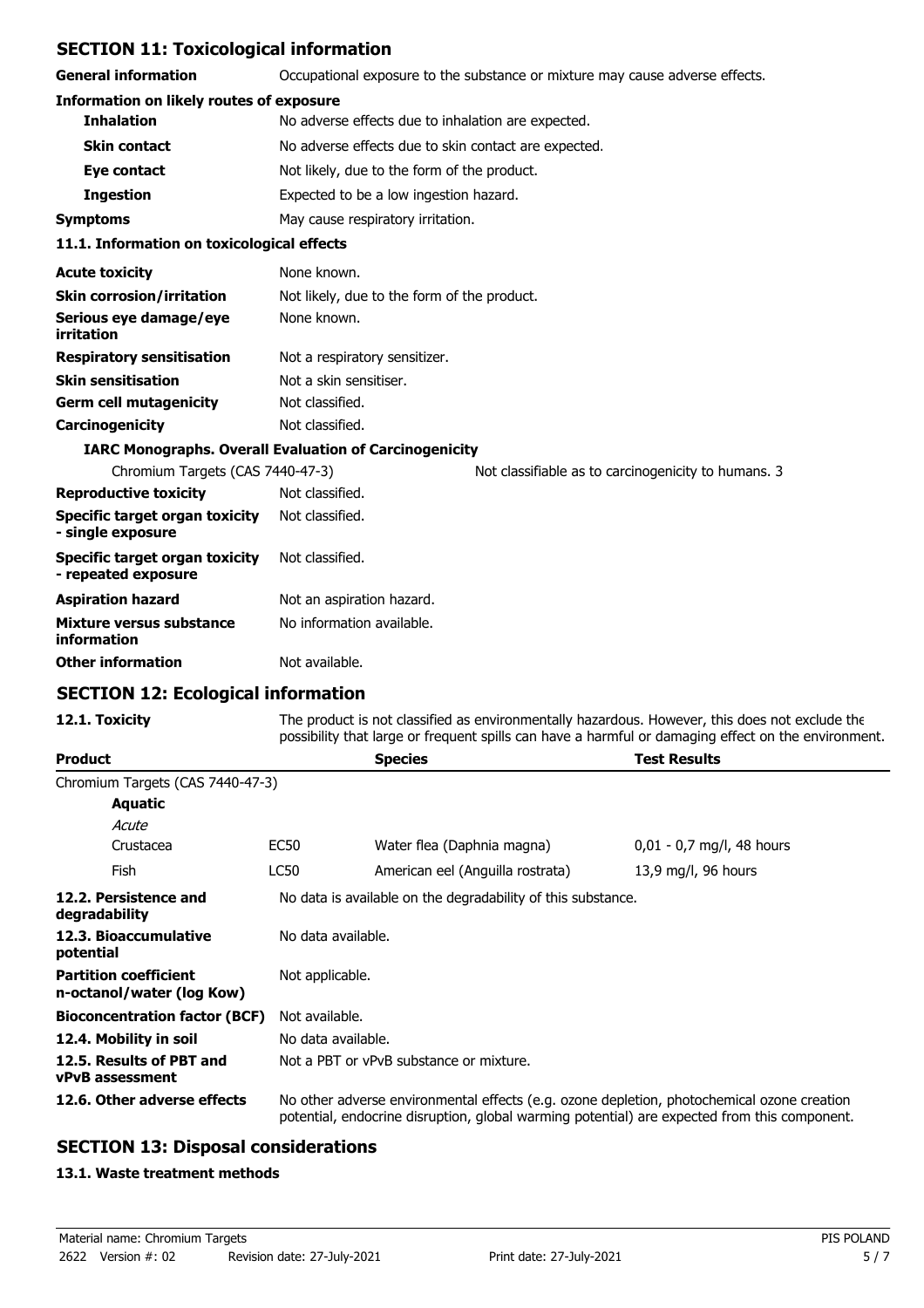## **SECTION 11: Toxicological information**

**General information C**CCUP Occupational exposure to the substance or mixture may cause adverse effects.

| scheidi inivi induon                                | occupational exposure to the substance of mixture may cause duverse encets. |  |  |
|-----------------------------------------------------|-----------------------------------------------------------------------------|--|--|
| <b>Information on likely routes of exposure</b>     |                                                                             |  |  |
| <b>Inhalation</b>                                   | No adverse effects due to inhalation are expected.                          |  |  |
| <b>Skin contact</b>                                 | No adverse effects due to skin contact are expected.                        |  |  |
| Eye contact                                         | Not likely, due to the form of the product.                                 |  |  |
| <b>Ingestion</b>                                    | Expected to be a low ingestion hazard.                                      |  |  |
| <b>Symptoms</b>                                     | May cause respiratory irritation.                                           |  |  |
| 11.1. Information on toxicological effects          |                                                                             |  |  |
| <b>Acute toxicity</b>                               | None known.                                                                 |  |  |
| <b>Skin corrosion/irritation</b>                    | Not likely, due to the form of the product.                                 |  |  |
| Serious eye damage/eye<br>irritation                | None known.                                                                 |  |  |
| <b>Respiratory sensitisation</b>                    | Not a respiratory sensitizer.                                               |  |  |
| <b>Skin sensitisation</b>                           | Not a skin sensitiser.                                                      |  |  |
| <b>Germ cell mutagenicity</b>                       | Not classified.                                                             |  |  |
| Carcinogenicity                                     | Not classified.                                                             |  |  |
|                                                     | <b>IARC Monographs. Overall Evaluation of Carcinogenicity</b>               |  |  |
| Chromium Targets (CAS 7440-47-3)                    | Not classifiable as to carcinogenicity to humans. 3                         |  |  |
| <b>Reproductive toxicity</b>                        | Not classified.                                                             |  |  |
| Specific target organ toxicity<br>- single exposure | Not classified.                                                             |  |  |
| <b>Specific target organ toxicity</b>               | Not classified.                                                             |  |  |

| 55551115 tai 45t 51 4411 toxitity<br>- repeated exposure | וושטוווכשוט טעוו          |
|----------------------------------------------------------|---------------------------|
| Aspiration hazard                                        | Not an aspiration hazard. |
| Mixture versus substance<br>information                  | No information available. |
| Other information                                        | Not available.            |

## **SECTION 12: Ecological information**

12.1. Toxicity The product is not classified as environmentally hazardous. However, this does not exclude the possibility that large or frequent spills can have a harmful or damaging effect on the environment.

| <b>Product</b>                                            |                                                                                                                                                                                            | <b>Species</b>                   | <b>Test Results</b>         |  |
|-----------------------------------------------------------|--------------------------------------------------------------------------------------------------------------------------------------------------------------------------------------------|----------------------------------|-----------------------------|--|
| Chromium Targets (CAS 7440-47-3)                          |                                                                                                                                                                                            |                                  |                             |  |
| Aquatic                                                   |                                                                                                                                                                                            |                                  |                             |  |
| Acute                                                     |                                                                                                                                                                                            |                                  |                             |  |
| Crustacea                                                 | EC50                                                                                                                                                                                       | Water flea (Daphnia magna)       | $0.01 - 0.7$ mg/l, 48 hours |  |
| Fish                                                      | LC50                                                                                                                                                                                       | American eel (Anguilla rostrata) | 13,9 mg/l, 96 hours         |  |
| 12.2. Persistence and<br>degradability                    | No data is available on the degradability of this substance.                                                                                                                               |                                  |                             |  |
| 12.3. Bioaccumulative<br>potential                        | No data available.                                                                                                                                                                         |                                  |                             |  |
| <b>Partition coefficient</b><br>n-octanol/water (log Kow) | Not applicable.                                                                                                                                                                            |                                  |                             |  |
| <b>Bioconcentration factor (BCF)</b>                      | Not available.                                                                                                                                                                             |                                  |                             |  |
| 12.4. Mobility in soil                                    | No data available.                                                                                                                                                                         |                                  |                             |  |
| 12.5. Results of PBT and<br><b>vPvB</b> assessment        | Not a PBT or vPvB substance or mixture.                                                                                                                                                    |                                  |                             |  |
| 12.6. Other adverse effects                               | No other adverse environmental effects (e.g. ozone depletion, photochemical ozone creation<br>potential, endocrine disruption, global warming potential) are expected from this component. |                                  |                             |  |

## **SECTION 13: Disposal considerations**

#### **13.1. Waste treatment methods**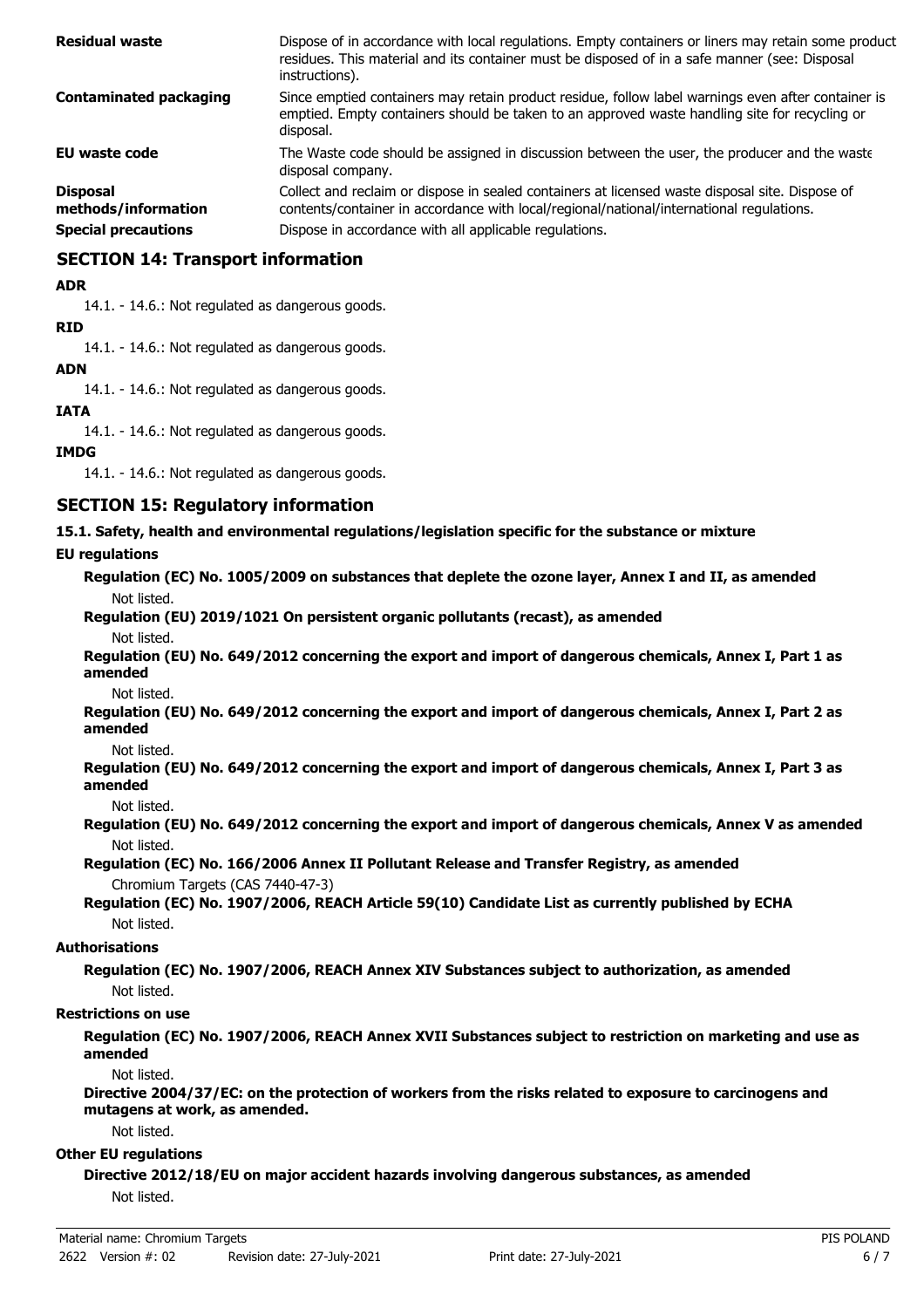| <b>Residual waste</b>                  | Dispose of in accordance with local regulations. Empty containers or liners may retain some product<br>residues. This material and its container must be disposed of in a safe manner (see: Disposal<br>instructions). |
|----------------------------------------|------------------------------------------------------------------------------------------------------------------------------------------------------------------------------------------------------------------------|
| <b>Contaminated packaging</b>          | Since emptied containers may retain product residue, follow label warnings even after container is<br>emptied. Empty containers should be taken to an approved waste handling site for recycling or<br>disposal.       |
| <b>EU waste code</b>                   | The Waste code should be assigned in discussion between the user, the producer and the waste<br>disposal company.                                                                                                      |
| <b>Disposal</b><br>methods/information | Collect and reclaim or dispose in sealed containers at licensed waste disposal site. Dispose of<br>contents/container in accordance with local/regional/national/international regulations.                            |
| <b>Special precautions</b>             | Dispose in accordance with all applicable regulations.                                                                                                                                                                 |

## **SECTION 14: Transport information**

#### **ADR**

14.1. - 14.6.: Not regulated as dangerous goods.

#### **RID**

14.1. - 14.6.: Not regulated as dangerous goods.

## **ADN**

14.1. - 14.6.: Not regulated as dangerous goods.

#### **IATA**

14.1. - 14.6.: Not regulated as dangerous goods.

#### **IMDG**

14.1. - 14.6.: Not regulated as dangerous goods.

## **SECTION 15: Regulatory information**

**15.1. Safety, health and environmental regulations/legislation specific for the substance or mixture**

#### **EU regulations**

**Regulation (EC) No. 1005/2009 on substances that deplete the ozone layer, Annex I and II, as amended** Not listed.

# **Regulation (EU) 2019/1021 On persistent organic pollutants (recast), as amended**

Not listed.

**Regulation (EU) No. 649/2012 concerning the export and import of dangerous chemicals, Annex I, Part 1 as amended**

Not listed.

**Regulation (EU) No. 649/2012 concerning the export and import of dangerous chemicals, Annex I, Part 2 as amended**

Not listed.

**Regulation (EU) No. 649/2012 concerning the export and import of dangerous chemicals, Annex I, Part 3 as amended**

Not listed.

**Regulation (EU) No. 649/2012 concerning the export and import of dangerous chemicals, Annex V as amended** Not listed.

**Regulation (EC) No. 166/2006 Annex II Pollutant Release and Transfer Registry, as amended** Chromium Targets (CAS 7440-47-3)

**Regulation (EC) No. 1907/2006, REACH Article 59(10) Candidate List as currently published by ECHA** Not listed.

#### **Authorisations**

**Regulation (EC) No. 1907/2006, REACH Annex XIV Substances subject to authorization, as amended** Not listed.

#### **Restrictions on use**

**Regulation (EC) No. 1907/2006, REACH Annex XVII Substances subject to restriction on marketing and use as amended**

Not listed.

**Directive 2004/37/EC: on the protection of workers from the risks related to exposure to carcinogens and mutagens at work, as amended.**

Not listed.

#### **Other EU regulations**

**Directive 2012/18/EU on major accident hazards involving dangerous substances, as amended** Not listed.